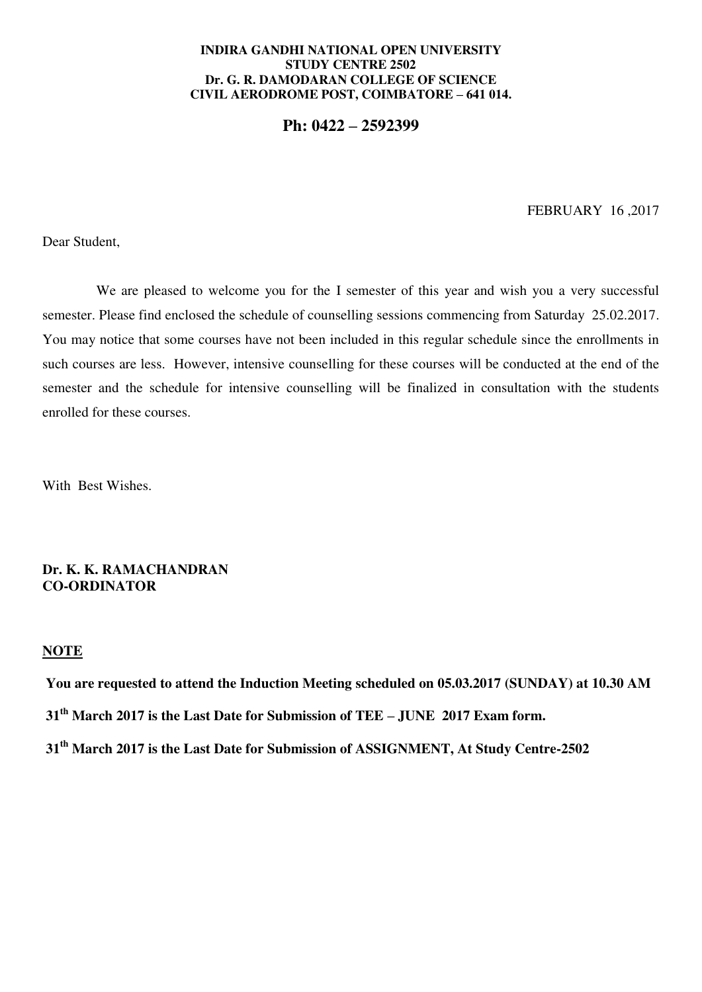#### **INDIRA GANDHI NATIONAL OPEN UNIVERSITY STUDY CENTRE 2502 Dr. G. R. DAMODARAN COLLEGE OF SCIENCE CIVIL AERODROME POST, COIMBATORE – 641 014.**

**Ph: 0422 – 2592399**

FEBRUARY 16 ,2017

Dear Student,

We are pleased to welcome you for the I semester of this year and wish you a very successful semester. Please find enclosed the schedule of counselling sessions commencing from Saturday 25.02.2017. You may notice that some courses have not been included in this regular schedule since the enrollments in such courses are less. However, intensive counselling for these courses will be conducted at the end of the semester and the schedule for intensive counselling will be finalized in consultation with the students enrolled for these courses.

With Best Wishes.

# **Dr. K. K. RAMACHANDRAN CO-ORDINATOR**

## **NOTE**

 **You are requested to attend the Induction Meeting scheduled on 05.03.2017 (SUNDAY) at 10.30 AM 31th March 2017 is the Last Date for Submission of TEE – JUNE 2017 Exam form. 31th March 2017 is the Last Date for Submission of ASSIGNMENT, At Study Centre-2502**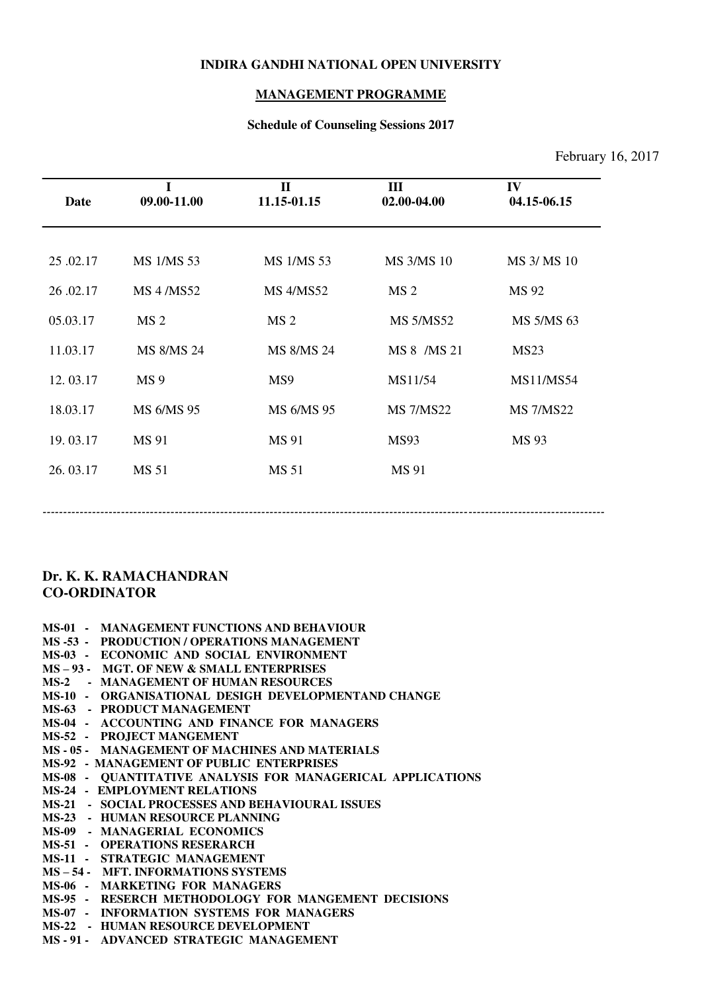#### **INDIRA GANDHI NATIONAL OPEN UNIVERSITY**

# **MANAGEMENT PROGRAMME**

# **Schedule of Counseling Sessions 2017**

# February 16, 2017

| Date     | I<br>09.00-11.00  | $\mathbf{I}$<br>11.15-01.15 | $\mathbf{III}$<br>02.00-04.00 | IV<br>04.15-06.15 |
|----------|-------------------|-----------------------------|-------------------------------|-------------------|
| 25.02.17 | <b>MS 1/MS 53</b> | <b>MS 1/MS 53</b>           | <b>MS 3/MS 10</b>             | MS 3/ MS 10       |
| 26.02.17 | <b>MS 4/MS52</b>  | <b>MS 4/MS52</b>            | MS <sub>2</sub>               | MS 92             |
| 05.03.17 | MS <sub>2</sub>   | MS <sub>2</sub>             | <b>MS 5/MS52</b>              | MS 5/MS 63        |
| 11.03.17 | MS 8/MS 24        | MS 8/MS 24                  | MS 8 /MS 21                   | MS <sub>23</sub>  |
| 12.03.17 | MS <sub>9</sub>   | MS9                         | MS11/54                       | MS11/MS54         |
| 18.03.17 | MS 6/MS 95        | MS 6/MS 95                  | <b>MS 7/MS22</b>              | <b>MS 7/MS22</b>  |
| 19.03.17 | MS 91             | MS 91                       | <b>MS93</b>                   | MS 93             |
| 26.03.17 | MS 51             | MS 51                       | MS 91                         |                   |
|          |                   |                             |                               |                   |

# **Dr. K. K. RAMACHANDRAN CO-ORDINATOR**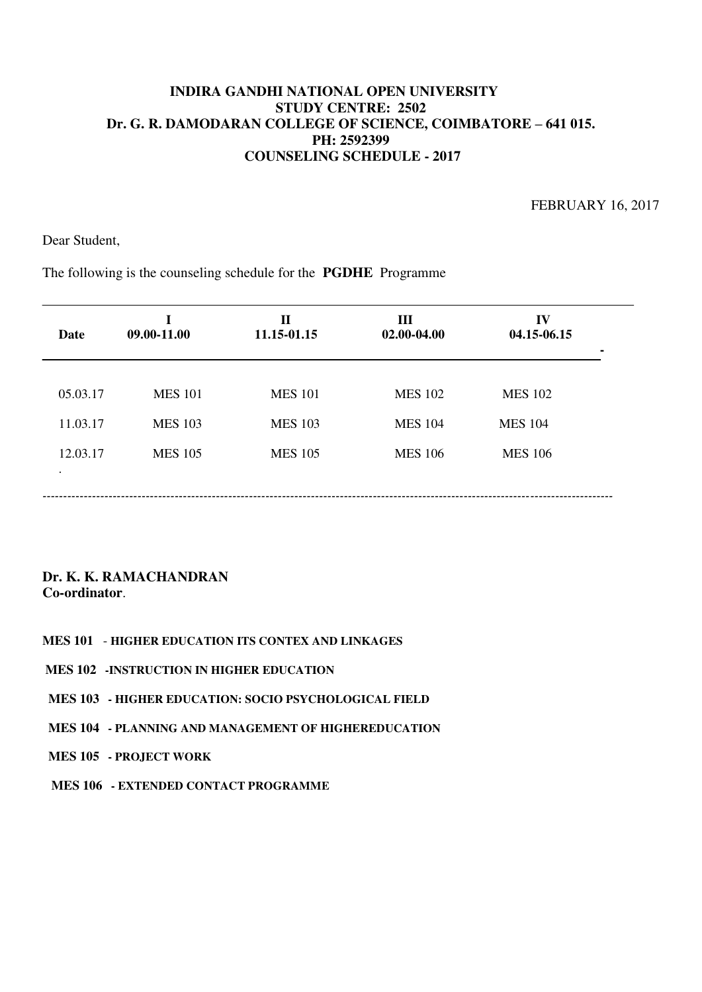FEBRUARY 16, 2017

Dear Student,

The following is the counseling schedule for the **PGDHE** Programme

| 05.03.17 | <b>MES 101</b><br><b>MES 101</b> | <b>MES 102</b> | <b>MES 102</b> |
|----------|----------------------------------|----------------|----------------|
|          |                                  |                |                |
| 11.03.17 | <b>MES 103</b><br><b>MES 103</b> | <b>MES 104</b> | <b>MES 104</b> |
| 12.03.17 | <b>MES 105</b><br><b>MES 105</b> | <b>MES 106</b> | <b>MES 106</b> |

- **MES 101 HIGHER EDUCATION ITS CONTEX AND LINKAGES**
- **MES 102 -INSTRUCTION IN HIGHER EDUCATION**
- **MES 103 HIGHER EDUCATION: SOCIO PSYCHOLOGICAL FIELD**
- **MES 104 PLANNING AND MANAGEMENT OF HIGHEREDUCATION**
- **MES 105 PROJECT WORK**
- **MES 106 EXTENDED CONTACT PROGRAMME**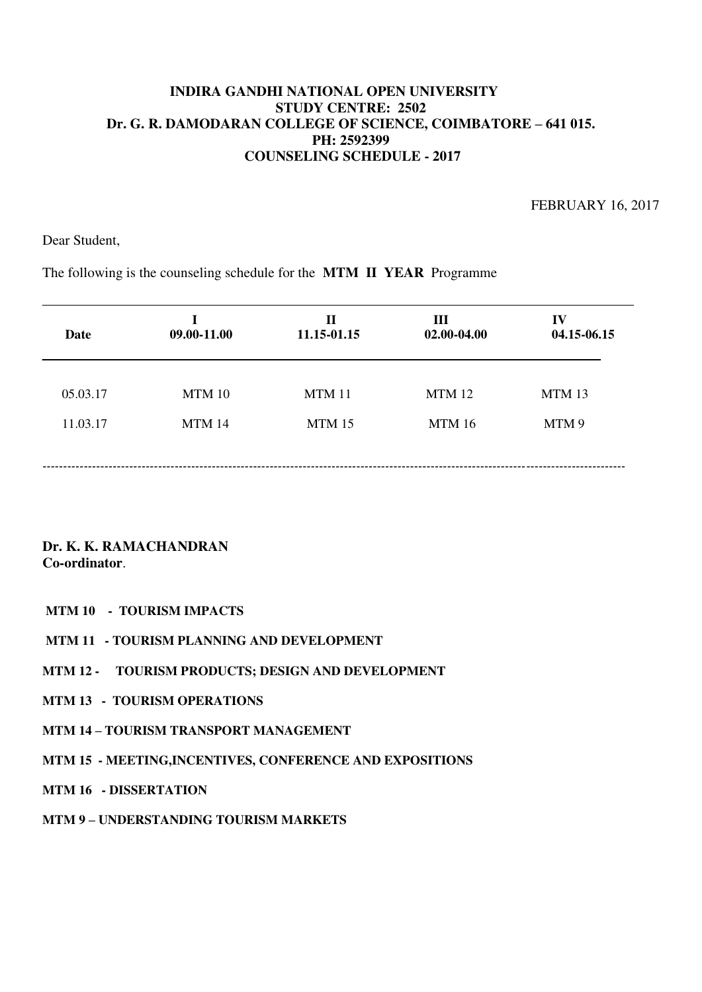FEBRUARY 16, 2017

Dear Student,

The following is the counseling schedule for the **MTM II YEAR** Programme

| <b>Date</b> | 09.00-11.00 | $\mathbf H$<br>11.15-01.15 | Ш<br>02.00-04.00 | IV<br>04.15-06.15 |
|-------------|-------------|----------------------------|------------------|-------------------|
| 05.03.17    | MTM 10      | <b>MTM 11</b>              | <b>MTM 12</b>    | MTM 13            |
| 11.03.17    | MTM 14      | MTM 15                     | MTM 16           | MTM 9             |
|             |             |                            |                  |                   |

**Dr. K. K. RAMACHANDRAN Co-ordinator**.

## **MTM 10 - TOURISM IMPACTS**

- **MTM 11 TOURISM PLANNING AND DEVELOPMENT**
- **MTM 12 TOURISM PRODUCTS; DESIGN AND DEVELOPMENT**
- **MTM 13 TOURISM OPERATIONS**
- **MTM 14 – TOURISM TRANSPORT MANAGEMENT**
- **MTM 15 MEETING,INCENTIVES, CONFERENCE AND EXPOSITIONS**

### **MTM 16 - DISSERTATION**

**MTM 9 – UNDERSTANDING TOURISM MARKETS**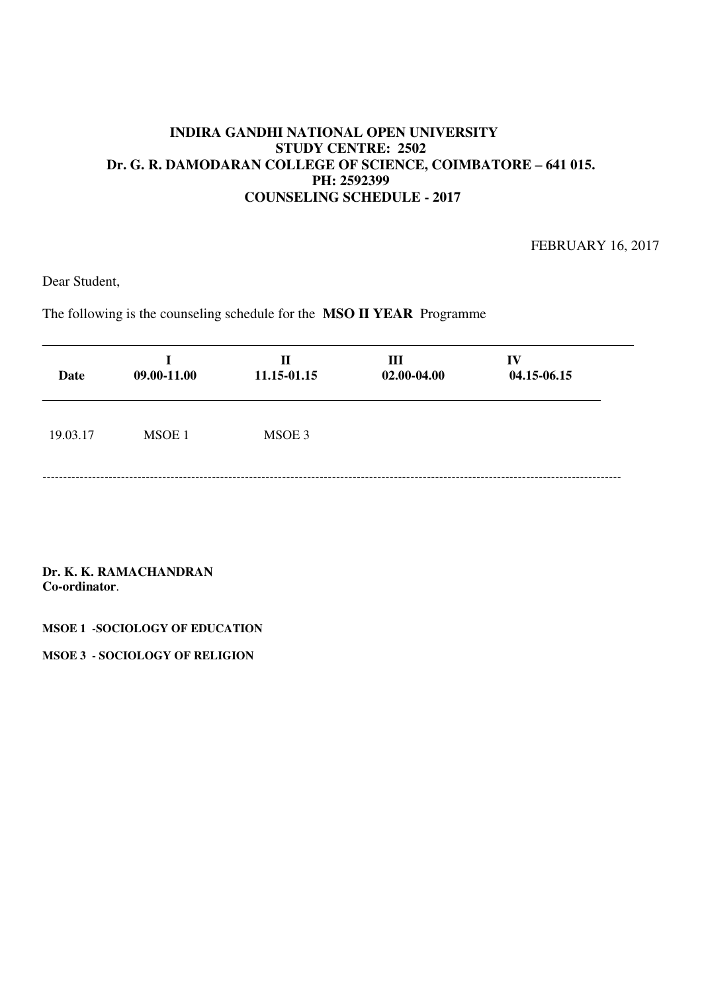FEBRUARY 16, 2017

Dear Student,

The following is the counseling schedule for the **MSO II YEAR** Programme

| <b>Date</b> | 09.00-11.00 | $\mathbf H$<br>11.15-01.15 | Ш<br>02.00-04.00 | IV<br>04.15-06.15 |
|-------------|-------------|----------------------------|------------------|-------------------|
| 19.03.17    | MSOE 1      | MSOE 3                     |                  |                   |
|             |             |                            |                  |                   |

**Dr. K. K. RAMACHANDRAN Co-ordinator**.

**MSOE 1 -SOCIOLOGY OF EDUCATION** 

**MSOE 3 - SOCIOLOGY OF RELIGION**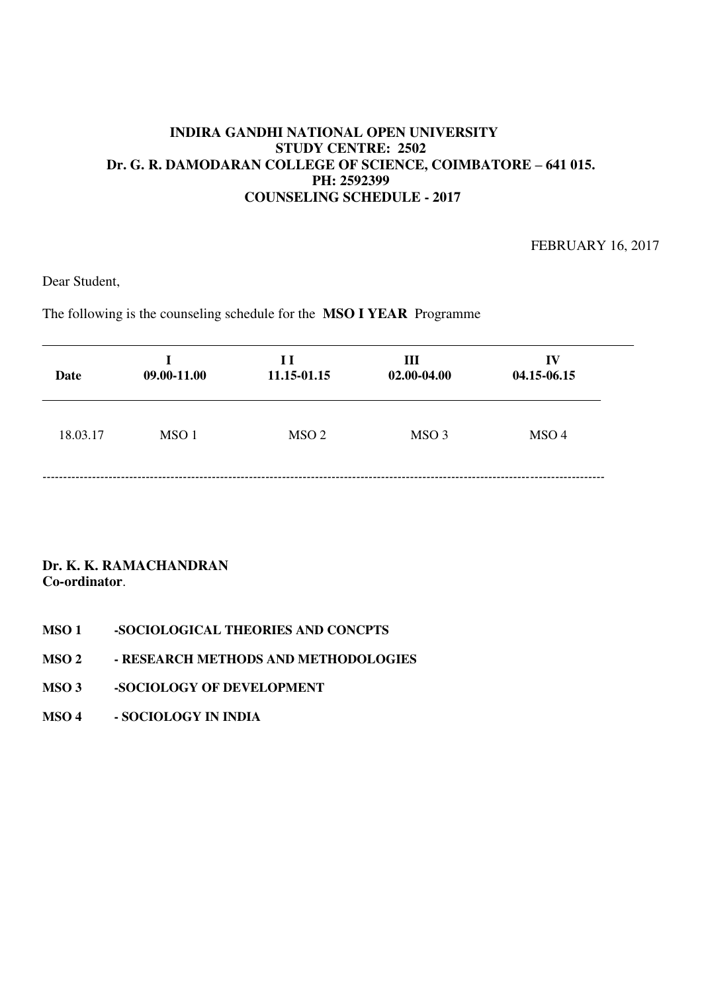FEBRUARY 16, 2017

Dear Student,

The following is the counseling schedule for the **MSO I YEAR** Programme

| Date     | 09.00-11.00      | H<br>11.15-01.15 | III<br>02.00-04.00 | $\bf{IV}$<br>04.15-06.15 |
|----------|------------------|------------------|--------------------|--------------------------|
| 18.03.17 | MSO <sub>1</sub> | MSO <sub>2</sub> | MSO <sub>3</sub>   | MSO <sub>4</sub>         |
|          |                  |                  |                    |                          |

- **MSO 1 -SOCIOLOGICAL THEORIES AND CONCPTS**
- **MSO 2 RESEARCH METHODS AND METHODOLOGIES**
- **MSO 3 -SOCIOLOGY OF DEVELOPMENT**
- **MSO 4 SOCIOLOGY IN INDIA**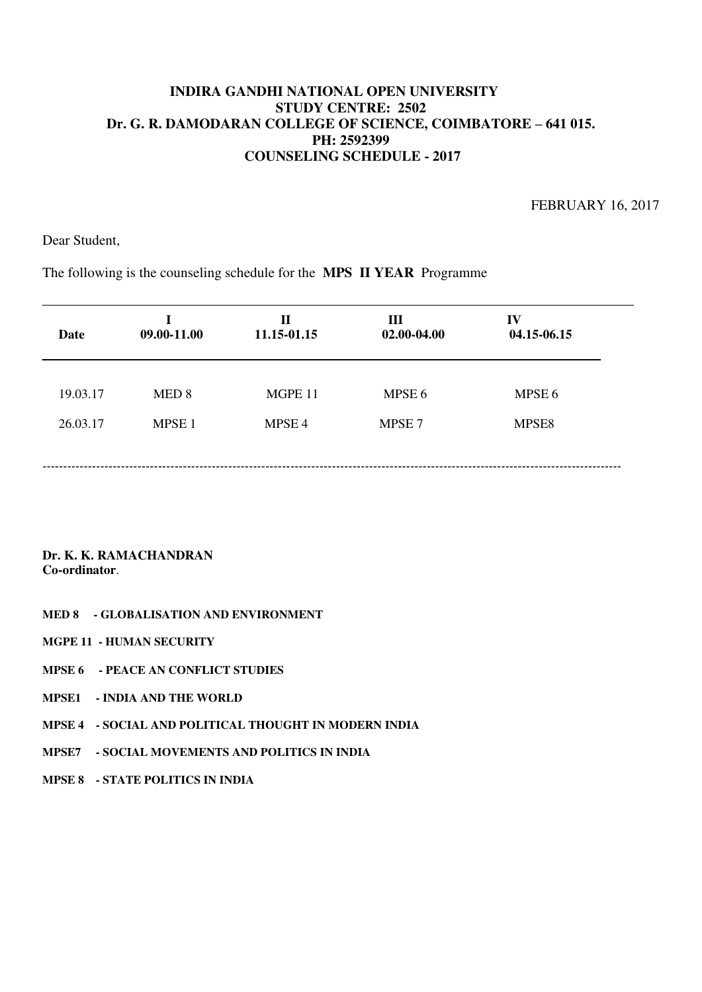FEBRUARY 16, 2017

Dear Student,

The following is the counseling schedule for the **MPS II YEAR** Programme

| Date     | T<br>09.00-11.00  | $\mathbf{I}$<br>11.15-01.15 | Ш<br>02.00-04.00  | IV<br>04.15-06.15 |
|----------|-------------------|-----------------------------|-------------------|-------------------|
| 19.03.17 | MED <sub>8</sub>  | MGPE 11                     | MPSE 6            | MPSE 6            |
| 26.03.17 | MPSE <sub>1</sub> | MPSE <sub>4</sub>           | MPSE <sub>7</sub> | MPSE8             |
|          |                   |                             |                   |                   |

- **MED 8 GLOBALISATION AND ENVIRONMENT**
- **MGPE 11 HUMAN SECURITY**
- **MPSE 6 PEACE AN CONFLICT STUDIES**
- **MPSE1 INDIA AND THE WORLD**
- **MPSE 4 SOCIAL AND POLITICAL THOUGHT IN MODERN INDIA**
- **MPSE7 SOCIAL MOVEMENTS AND POLITICS IN INDIA**
- **MPSE 8 STATE POLITICS IN INDIA**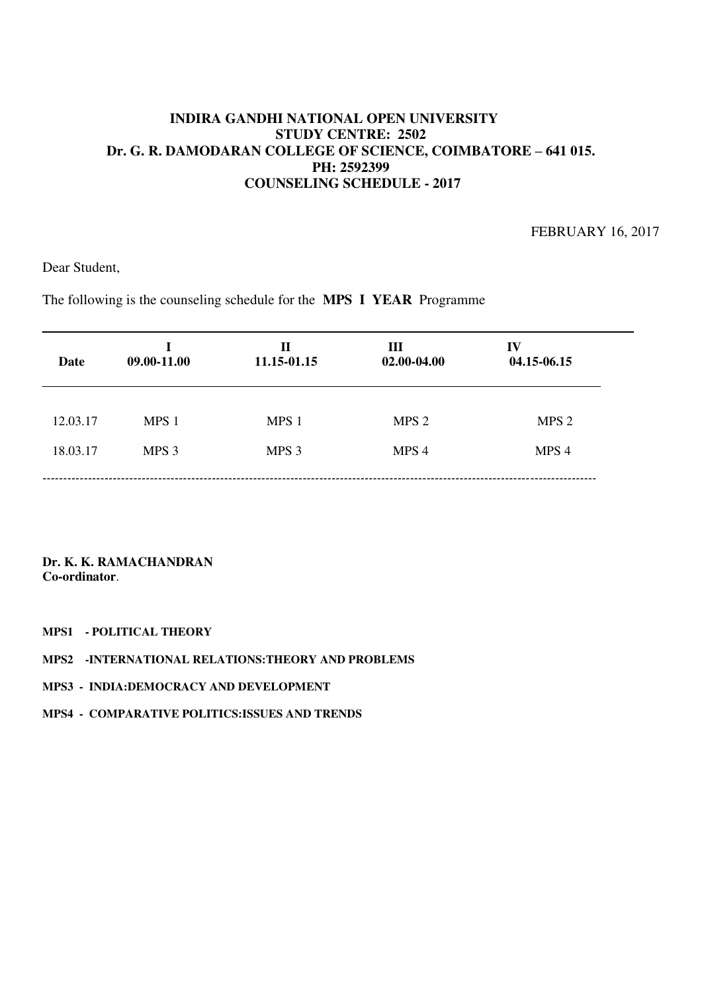FEBRUARY 16, 2017

Dear Student,

The following is the counseling schedule for the **MPS I YEAR** Programme

| Date     | T.<br>09.00-11.00 | Н<br>11.15-01.15 | Ш<br>02.00-04.00 | IV<br>04.15-06.15 |
|----------|-------------------|------------------|------------------|-------------------|
| 12.03.17 | MPS 1             | MPS 1            | MPS <sub>2</sub> | MPS <sub>2</sub>  |
| 18.03.17 | MPS 3             | MPS <sub>3</sub> | MPS 4            | MPS 4             |

- **MPS1 POLITICAL THEORY**
- **MPS2 -INTERNATIONAL RELATIONS:THEORY AND PROBLEMS**
- **MPS3 INDIA:DEMOCRACY AND DEVELOPMENT**
- **MPS4 COMPARATIVE POLITICS:ISSUES AND TRENDS**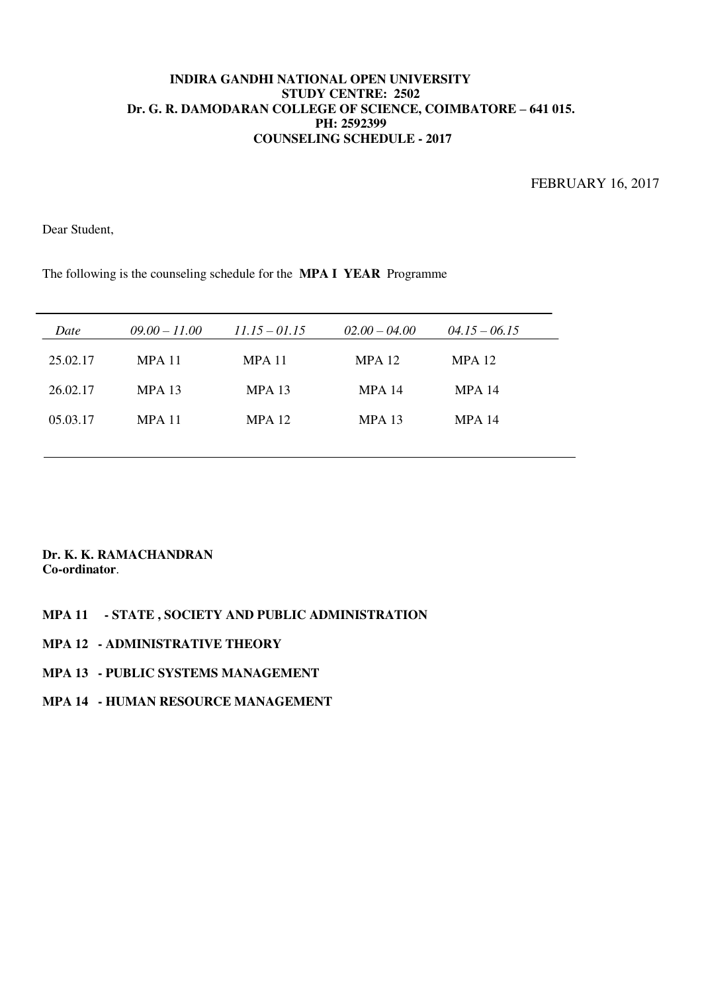FEBRUARY 16, 2017

Dear Student,

The following is the counseling schedule for the **MPA I YEAR** Programme

| Date     | $09.00 - 11.00$ | $11.15 - 01.15$ | $02.00 - 04.00$ | $04.15 - 06.15$ |  |
|----------|-----------------|-----------------|-----------------|-----------------|--|
| 25.02.17 | <b>MPA 11</b>   | <b>MPA 11</b>   | <b>MPA 12</b>   | MPA 12          |  |
| 26.02.17 | <b>MPA 13</b>   | $MPA$ 13        | <b>MPA 14</b>   | <b>MPA 14</b>   |  |
| 05.03.17 | <b>MPA 11</b>   | <b>MPA 12</b>   | <b>MPA 13</b>   | <b>MPA 14</b>   |  |
|          |                 |                 |                 |                 |  |

## **Dr. K. K. RAMACHANDRAN Co-ordinator**.

### **MPA 11 - STATE , SOCIETY AND PUBLIC ADMINISTRATION**

**MPA 12 - ADMINISTRATIVE THEORY** 

# **MPA 13 - PUBLIC SYSTEMS MANAGEMENT**

## **MPA 14 - HUMAN RESOURCE MANAGEMENT**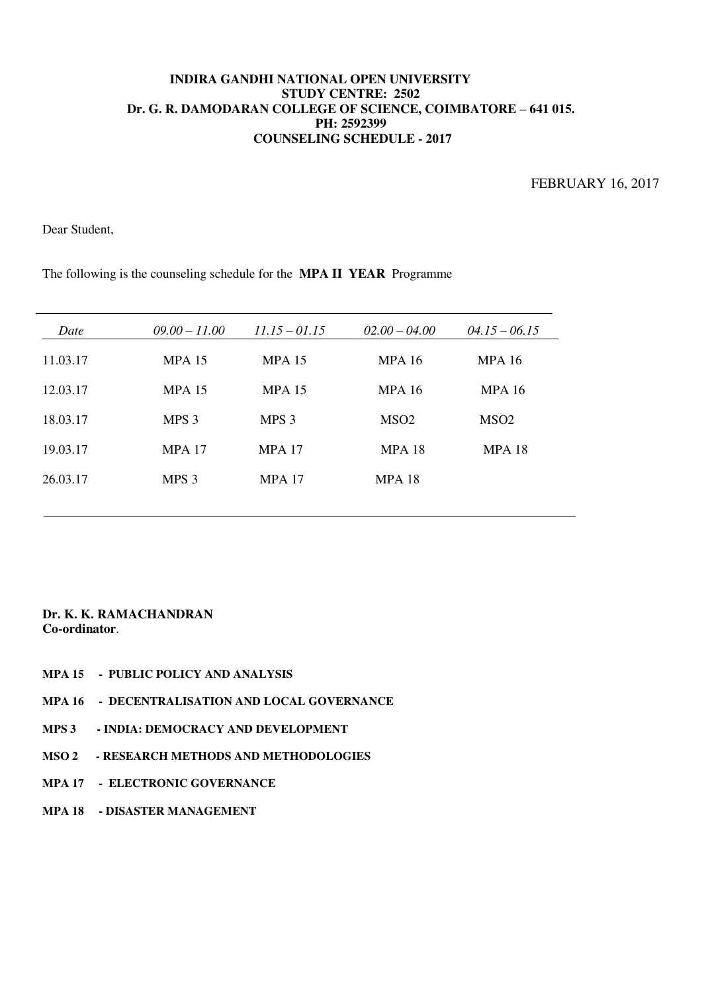FEBRUARY 16, 2017

Dear Student,

| Date     | $09.00 - 11.00$  | $11.15 - 01.15$  | $02.00 - 04.00$  | $04.15 - 06.15$  |
|----------|------------------|------------------|------------------|------------------|
| 11.03.17 | <b>MPA 15</b>    | <b>MPA 15</b>    | <b>MPA 16</b>    | <b>MPA 16</b>    |
| 12.03.17 | <b>MPA 15</b>    | <b>MPA 15</b>    | <b>MPA 16</b>    | <b>MPA 16</b>    |
| 18.03.17 | MPS <sub>3</sub> | MPS <sub>3</sub> | MSO <sub>2</sub> | MSO <sub>2</sub> |
| 19.03.17 | <b>MPA 17</b>    | <b>MPA 17</b>    | <b>MPA 18</b>    | <b>MPA 18</b>    |
| 26.03.17 | MPS <sub>3</sub> | <b>MPA 17</b>    | <b>MPA 18</b>    |                  |
|          |                  |                  |                  |                  |

The following is the counseling schedule for the **MPA II YEAR** Programme

- **MPA 15 PUBLIC POLICY AND ANALYSIS**
- **MPA 16 DECENTRALISATION AND LOCAL GOVERNANCE**
- **MPS 3 INDIA: DEMOCRACY AND DEVELOPMENT**
- **MSO 2 RESEARCH METHODS AND METHODOLOGIES**
- **MPA 17 ELECTRONIC GOVERNANCE**
- **MPA 18 DISASTER MANAGEMENT**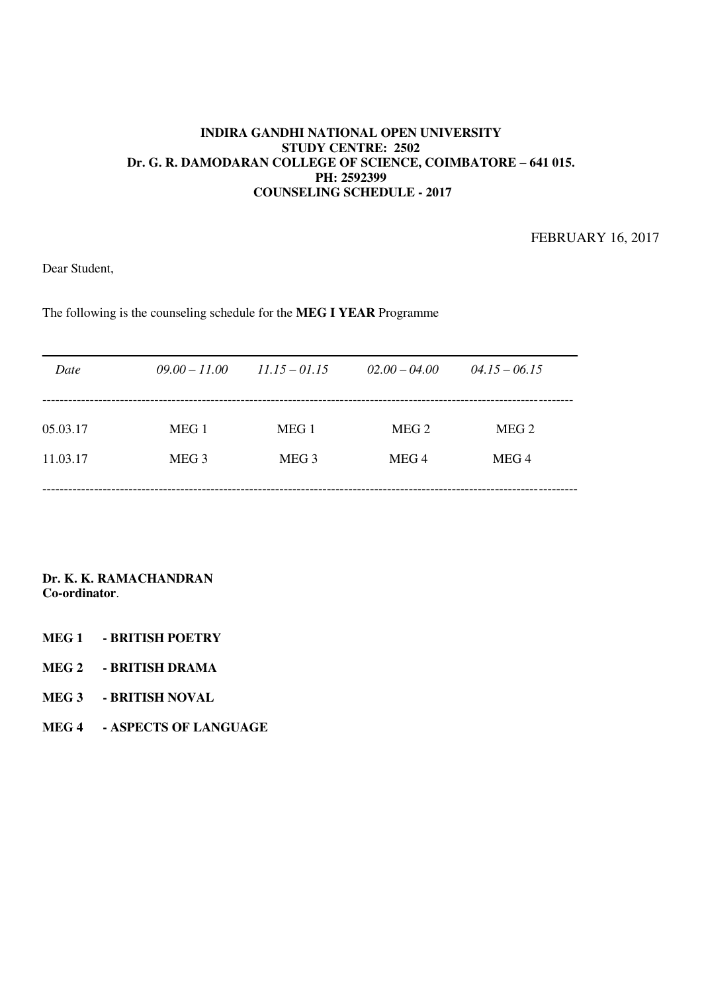FEBRUARY 16, 2017

Dear Student,

The following is the counseling schedule for the **MEG I YEAR** Programme

| Date     | $09.00 - 11.00$  | $11.15 - 01.15$  | $02.00 - 04.00$  | $04.15 - 06.15$  |  |
|----------|------------------|------------------|------------------|------------------|--|
|          |                  |                  |                  |                  |  |
| 05.03.17 | MEG 1            | MEG 1            | MEG <sub>2</sub> | MEG <sub>2</sub> |  |
| 11.03.17 | MEG <sub>3</sub> | MEG <sub>3</sub> | MEG <sub>4</sub> | MEG 4            |  |
|          |                  |                  |                  |                  |  |

- **MEG 1 BRITISH POETRY**
- **MEG 2 BRITISH DRAMA**
- **MEG 3 BRITISH NOVAL**
- **MEG 4 ASPECTS OF LANGUAGE**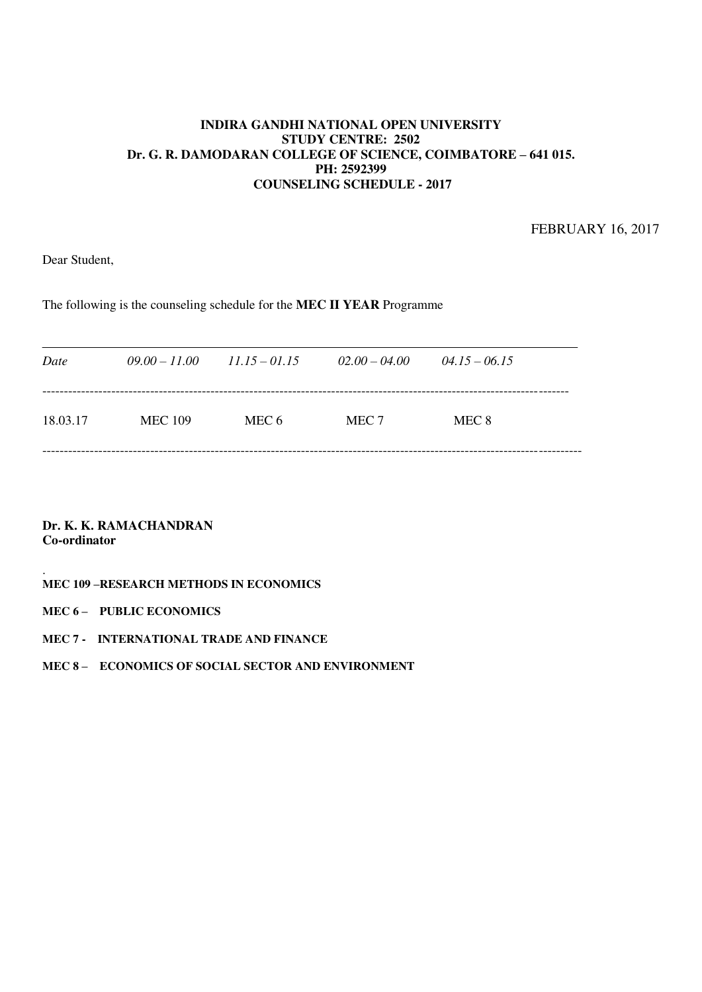FEBRUARY 16, 2017

Dear Student,

The following is the counseling schedule for the **MEC II YEAR** Programme

| Date     | $09.00 - 11.00$ | $11.15 - 01.15$ | $02.00 - 04.00$ | $04.15 - 06.15$ |  |
|----------|-----------------|-----------------|-----------------|-----------------|--|
| 18.03.17 | <b>MEC 109</b>  | MEC 6           | MEC 7           | MEC 8           |  |
|          |                 |                 |                 |                 |  |

**Dr. K. K. RAMACHANDRAN Co-ordinator** 

#### . **MEC 109 –RESEARCH METHODS IN ECONOMICS**

### **MEC 6 – PUBLIC ECONOMICS**

#### **MEC 7 - INTERNATIONAL TRADE AND FINANCE**

**MEC 8 – ECONOMICS OF SOCIAL SECTOR AND ENVIRONMENT**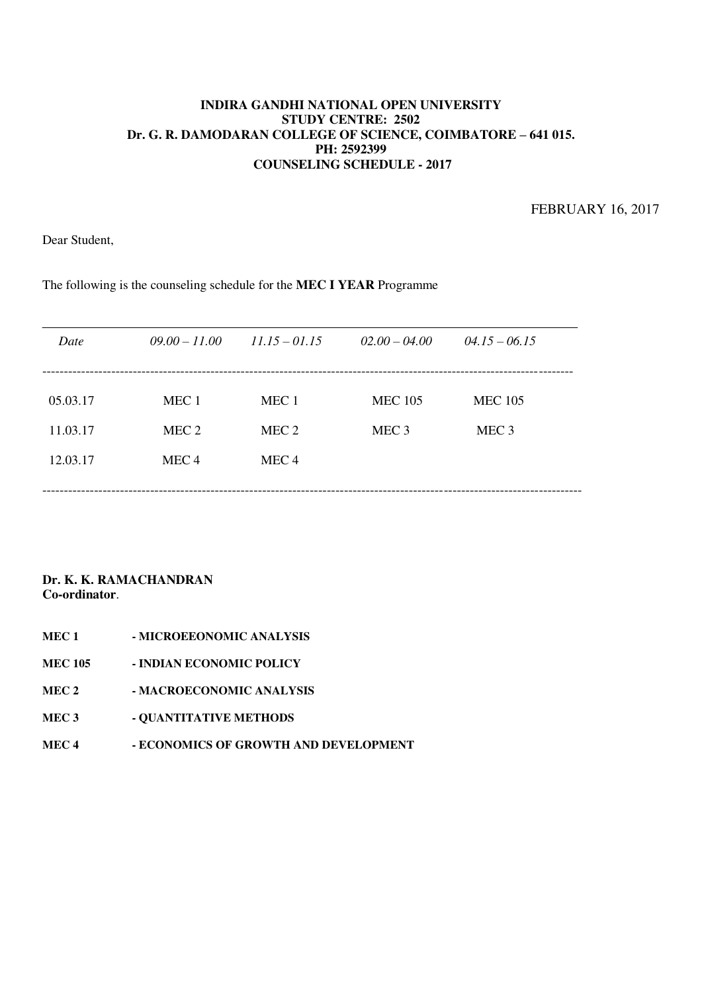FEBRUARY 16, 2017

Dear Student,

The following is the counseling schedule for the **MEC I YEAR** Programme

| Date     | $09.00 - 11.00$  | $11.15 - 01.15$  | $02.00 - 04.00$  | $04.15 - 06.15$  |  |
|----------|------------------|------------------|------------------|------------------|--|
|          |                  |                  |                  |                  |  |
| 05.03.17 | MEC <sub>1</sub> | MEC <sub>1</sub> | <b>MEC 105</b>   | <b>MEC 105</b>   |  |
| 11.03.17 | MEC 2            | MEC <sub>2</sub> | MEC <sub>3</sub> | MEC <sub>3</sub> |  |
| 12.03.17 | MEC <sub>4</sub> | MEC <sub>4</sub> |                  |                  |  |
|          |                  |                  |                  |                  |  |

- **MEC 1 MICROEEONOMIC ANALYSIS**
- **MEC 105 INDIAN ECONOMIC POLICY**
- **MEC 2 MACROECONOMIC ANALYSIS**
- **MEC 3** QUANTITATIVE METHODS
- **MEC 4 ECONOMICS OF GROWTH AND DEVELOPMENT**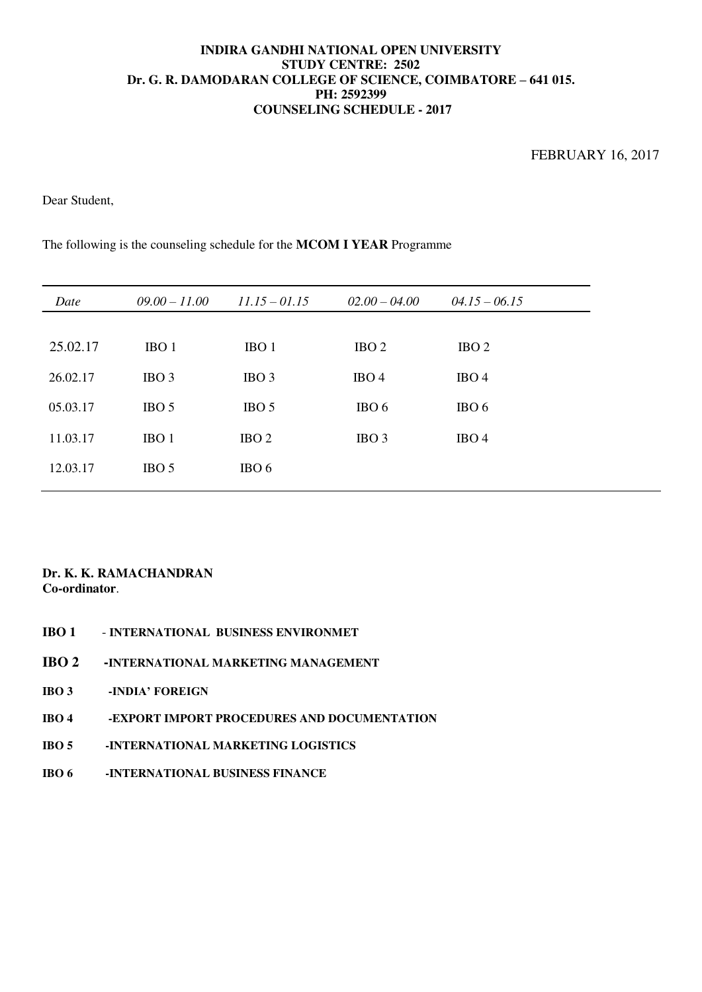Dear Student,

The following is the counseling schedule for the **MCOM I YEAR** Programme

| Date     | $09.00 - 11.00$  | $11.15 - 01.15$  | $02.00 - 04.00$  | $04.15 - 06.15$  |
|----------|------------------|------------------|------------------|------------------|
|          |                  |                  |                  |                  |
| 25.02.17 | IBO <sub>1</sub> | IBO 1            | IBO <sub>2</sub> | IBO <sub>2</sub> |
| 26.02.17 | IBO <sub>3</sub> | IBO <sub>3</sub> | IBO <sub>4</sub> | IBO <sub>4</sub> |
| 05.03.17 | IBO <sub>5</sub> | IBO <sub>5</sub> | IBO <sub>6</sub> | IBO 6            |
| 11.03.17 | IBO <sub>1</sub> | IBO <sub>2</sub> | IBO <sub>3</sub> | IBO <sub>4</sub> |
| 12.03.17 | IBO <sub>5</sub> | IBO 6            |                  |                  |

- **IBO 1 INTERNATIONAL BUSINESS ENVIRONMET**
- **IBO 2 -INTERNATIONAL MARKETING MANAGEMENT**
- **IBO 3 -INDIA' FOREIGN**
- **IBO 4 -EXPORT IMPORT PROCEDURES AND DOCUMENTATION**
- **IBO 5 -INTERNATIONAL MARKETING LOGISTICS**
- **IBO 6 -INTERNATIONAL BUSINESS FINANCE**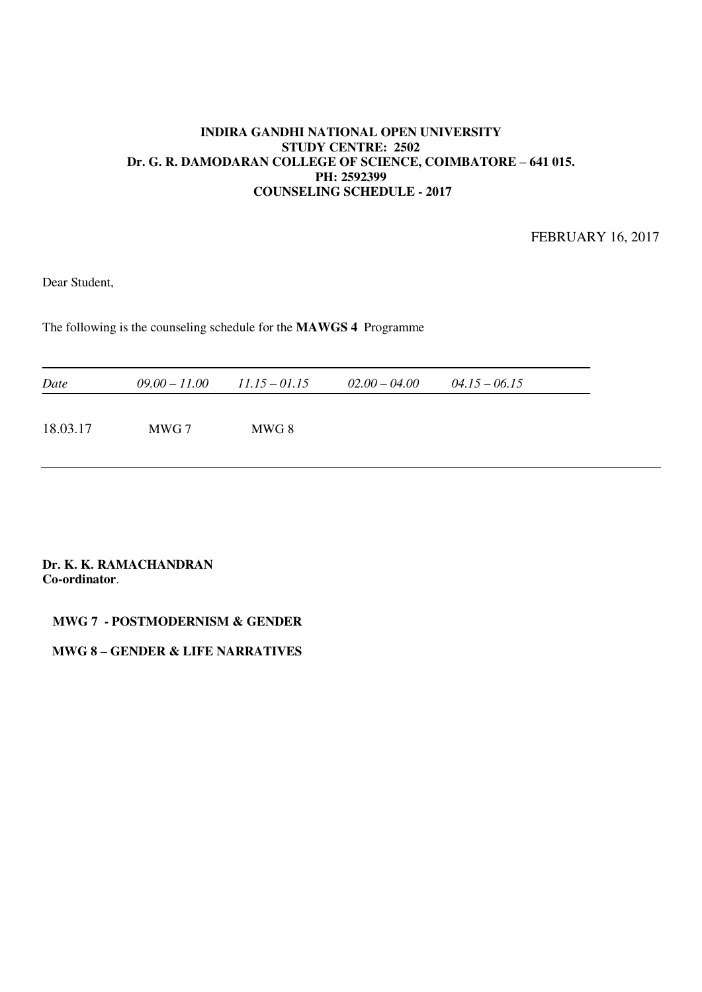FEBRUARY 16, 2017

Dear Student,

The following is the counseling schedule for the **MAWGS 4** Programme

| Date     |       | $09.00 - 11.00$ $11.15 - 01.15$ | $02.00 - 04.00$ | $04.15 - 06.15$ |  |
|----------|-------|---------------------------------|-----------------|-----------------|--|
| 18.03.17 | MWG 7 | MWG 8                           |                 |                 |  |

#### **Dr. K. K. RAMACHANDRAN Co-ordinator**.

#### **MWG 7 - POSTMODERNISM & GENDER**

## **MWG 8 – GENDER & LIFE NARRATIVES**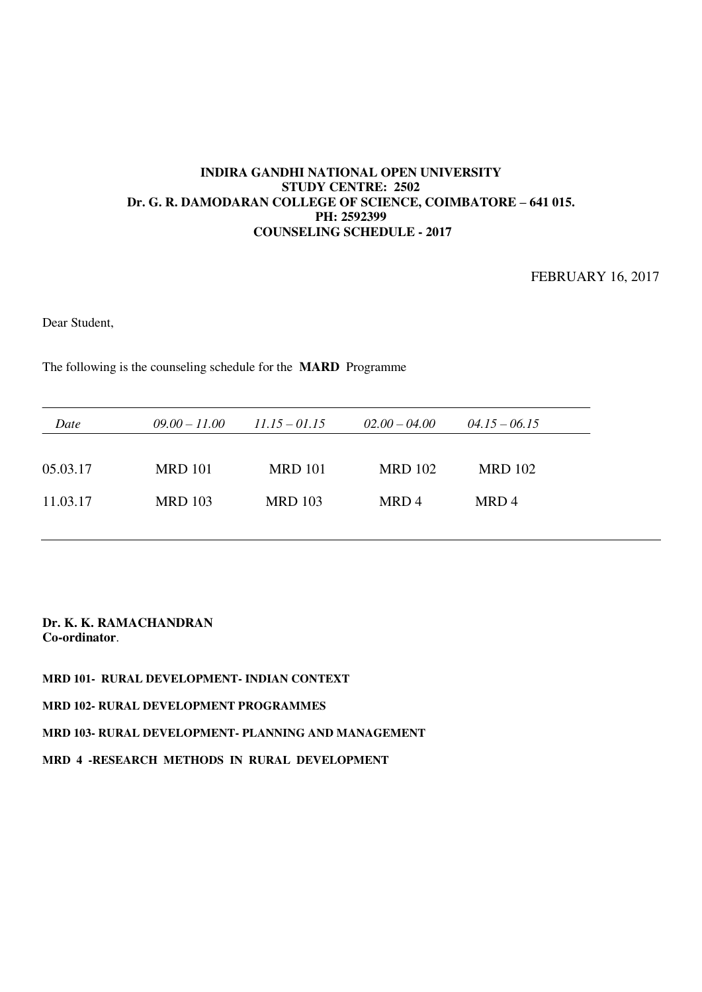FEBRUARY 16, 2017

Dear Student,

The following is the counseling schedule for the **MARD** Programme

| Date     | $09.00 - 11.00$ | $11.15 - 01.15$ | $02.00 - 04.00$ | $04.15 - 06.15$ |
|----------|-----------------|-----------------|-----------------|-----------------|
|          |                 |                 |                 |                 |
| 05.03.17 | <b>MRD</b> 101  | <b>MRD</b> 101  | <b>MRD 102</b>  | <b>MRD 102</b>  |
| 11.03.17 | <b>MRD 103</b>  | <b>MRD 103</b>  | MRD4            | MRD4            |
|          |                 |                 |                 |                 |

#### **Dr. K. K. RAMACHANDRAN Co-ordinator**.

**MRD 101- RURAL DEVELOPMENT- INDIAN CONTEXT** 

**MRD 102- RURAL DEVELOPMENT PROGRAMMES** 

**MRD 103- RURAL DEVELOPMENT- PLANNING AND MANAGEMENT** 

**MRD 4 -RESEARCH METHODS IN RURAL DEVELOPMENT**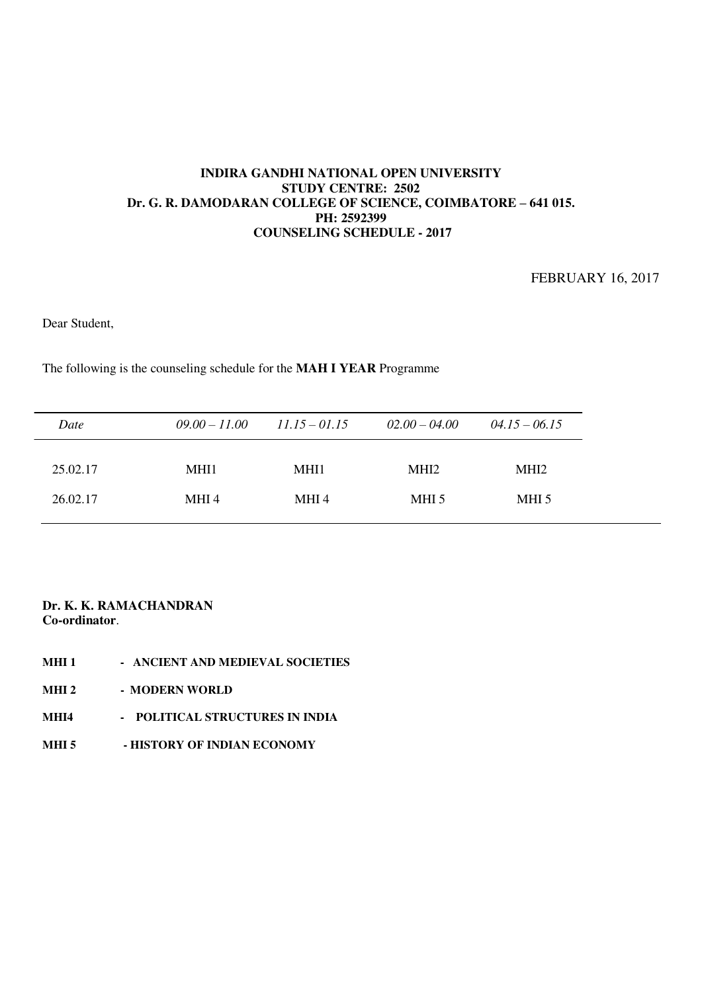FEBRUARY 16, 2017

Dear Student,

The following is the counseling schedule for the **MAH I YEAR** Programme

| Date     | $09.00 - 11.00$ | $11.15 - 01.15$ | $02.00 - 04.00$  | $04.15 - 06.15$  |
|----------|-----------------|-----------------|------------------|------------------|
| 25.02.17 | MHI1            | MHI1            | MHI <sub>2</sub> | MHI <sub>2</sub> |
| 26.02.17 | MHI 4           | MHI 4           | MHI 5            | MHI 5            |

- **MHI 1 ANCIENT AND MEDIEVAL SOCIETIES**
- **MHI 2 MODERN WORLD**
- **MHI4 POLITICAL STRUCTURES IN INDIA**
- **MHI 5 HISTORY OF INDIAN ECONOMY**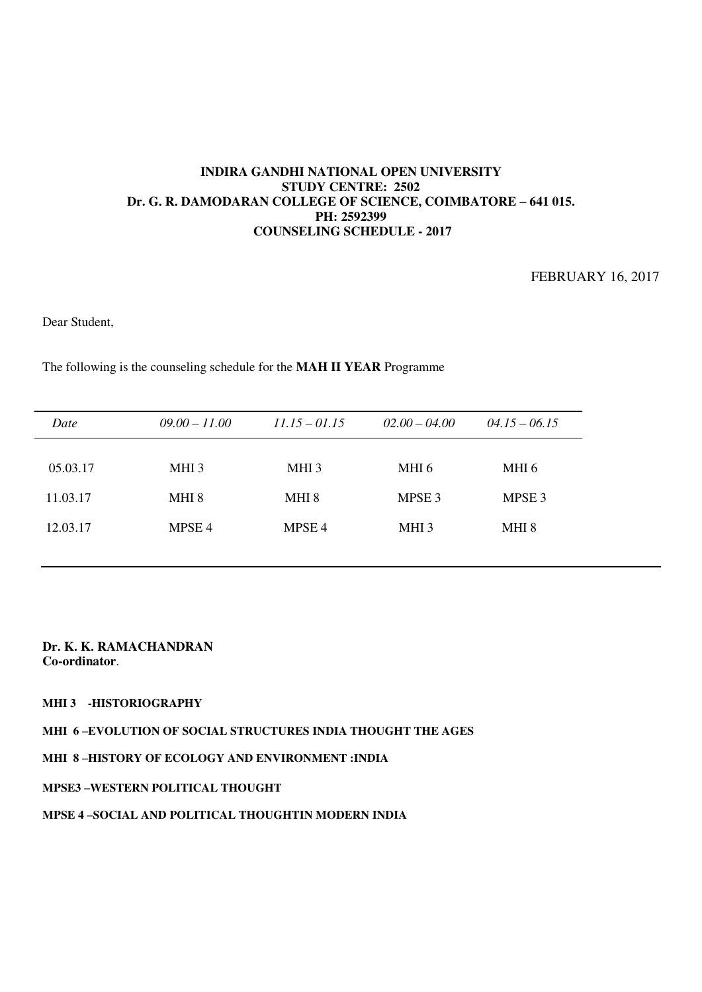FEBRUARY 16, 2017

Dear Student,

The following is the counseling schedule for the **MAH II YEAR** Programme

| Date     | $09.00 - 11.00$   | $11.15 - 01.15$   | $02.00 - 04.00$   | $04.15 - 06.15$   |
|----------|-------------------|-------------------|-------------------|-------------------|
| 05.03.17 | MHI <sub>3</sub>  | MHI <sub>3</sub>  | MHI 6             | MHI 6             |
| 11.03.17 | MHI <sub>8</sub>  | MHI 8             | MPSE <sub>3</sub> | MPSE <sub>3</sub> |
| 12.03.17 | MPSE <sub>4</sub> | MPSE <sub>4</sub> | MHI <sub>3</sub>  | MHI 8             |

### **Dr. K. K. RAMACHANDRAN Co-ordinator**.

#### **MHI 3 -HISTORIOGRAPHY**

**MHI 6 –EVOLUTION OF SOCIAL STRUCTURES INDIA THOUGHT THE AGES** 

**MHI 8 –HISTORY OF ECOLOGY AND ENVIRONMENT :INDIA** 

#### **MPSE3 –WESTERN POLITICAL THOUGHT**

### **MPSE 4 –SOCIAL AND POLITICAL THOUGHTIN MODERN INDIA**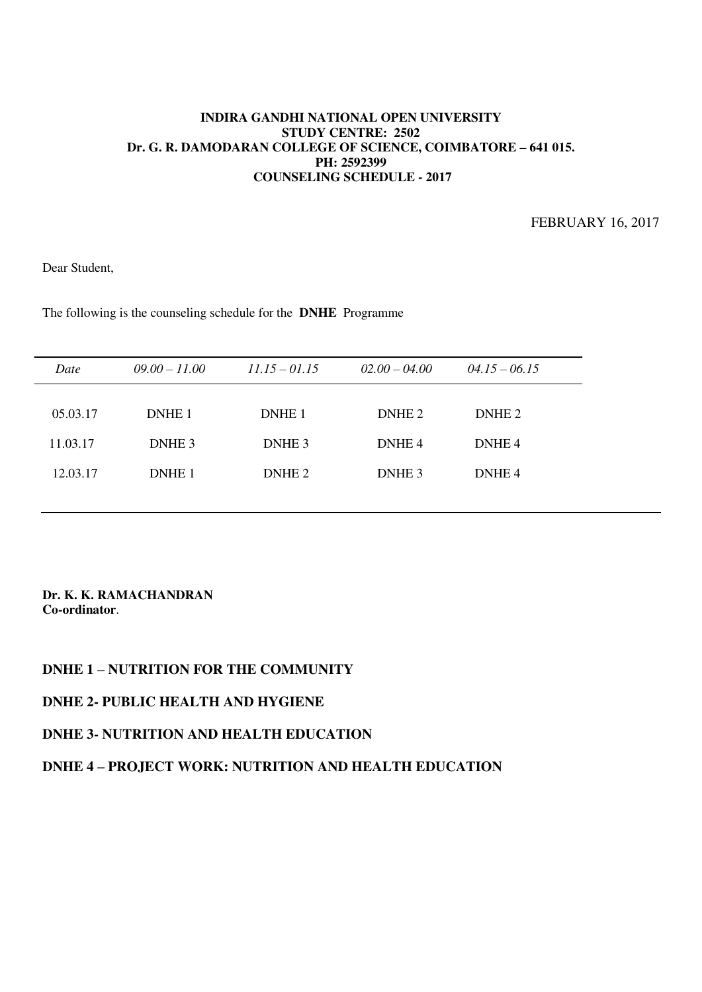FEBRUARY 16, 2017

Dear Student,

The following is the counseling schedule for the **DNHE** Programme

| Date     | $09.00 - 11.00$   | $11.15 - 01.15$   | $02.00 - 04.00$   | $04.15 - 06.15$   |  |
|----------|-------------------|-------------------|-------------------|-------------------|--|
|          |                   |                   |                   |                   |  |
| 05.03.17 | DNHE <sub>1</sub> | DNHE <sub>1</sub> | DNHE <sub>2</sub> | DNHE <sub>2</sub> |  |
| 11.03.17 | DNHE <sub>3</sub> | DNHE <sub>3</sub> | DNHE <sub>4</sub> | DNHE <sub>4</sub> |  |
| 12.03.17 | DNHE <sub>1</sub> | DNHE <sub>2</sub> | DNHE <sub>3</sub> | DNHE <sub>4</sub> |  |
|          |                   |                   |                   |                   |  |

#### **Dr. K. K. RAMACHANDRAN Co-ordinator**.

## **DNHE 1 – NUTRITION FOR THE COMMUNITY**

## **DNHE 2- PUBLIC HEALTH AND HYGIENE**

## **DNHE 3- NUTRITION AND HEALTH EDUCATION**

## **DNHE 4 – PROJECT WORK: NUTRITION AND HEALTH EDUCATION**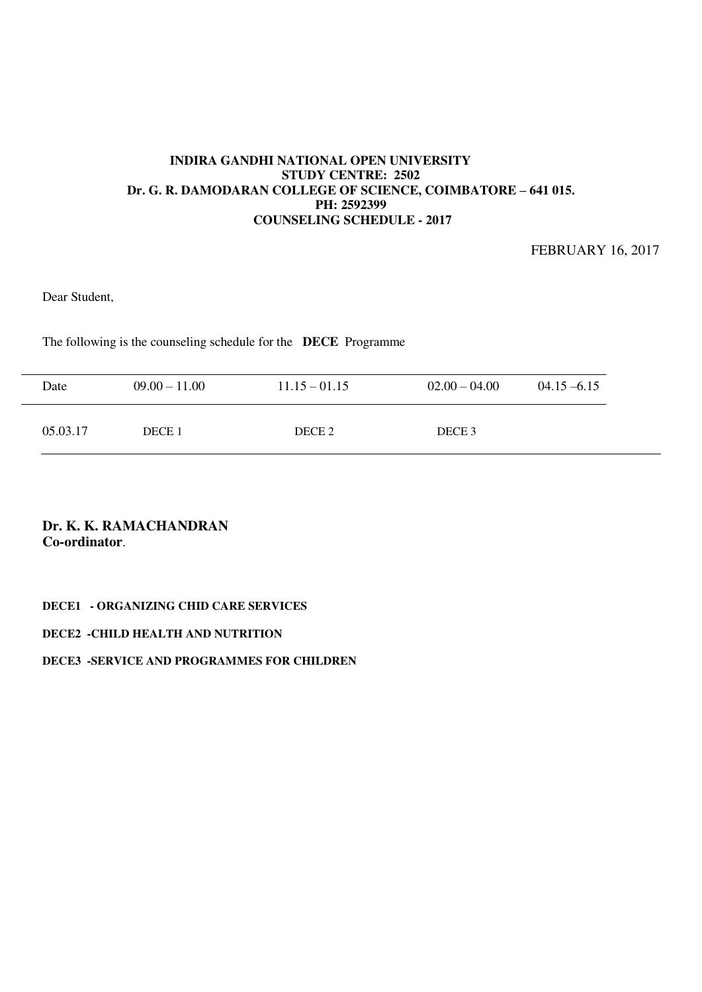FEBRUARY 16, 2017

Dear Student,

The following is the counseling schedule for the **DECE** Programme

| Date     | $09.00 - 11.00$ | $11.15 - 01.15$ | $02.00 - 04.00$   | $04.15 - 6.15$ |
|----------|-----------------|-----------------|-------------------|----------------|
| 05.03.17 | DECE 1          | DECE 2          | DECE <sub>3</sub> |                |

# **Dr. K. K. RAMACHANDRAN Co-ordinator**.

#### **DECE1 - ORGANIZING CHID CARE SERVICES**

#### **DECE2 -CHILD HEALTH AND NUTRITION**

#### **DECE3 -SERVICE AND PROGRAMMES FOR CHILDREN**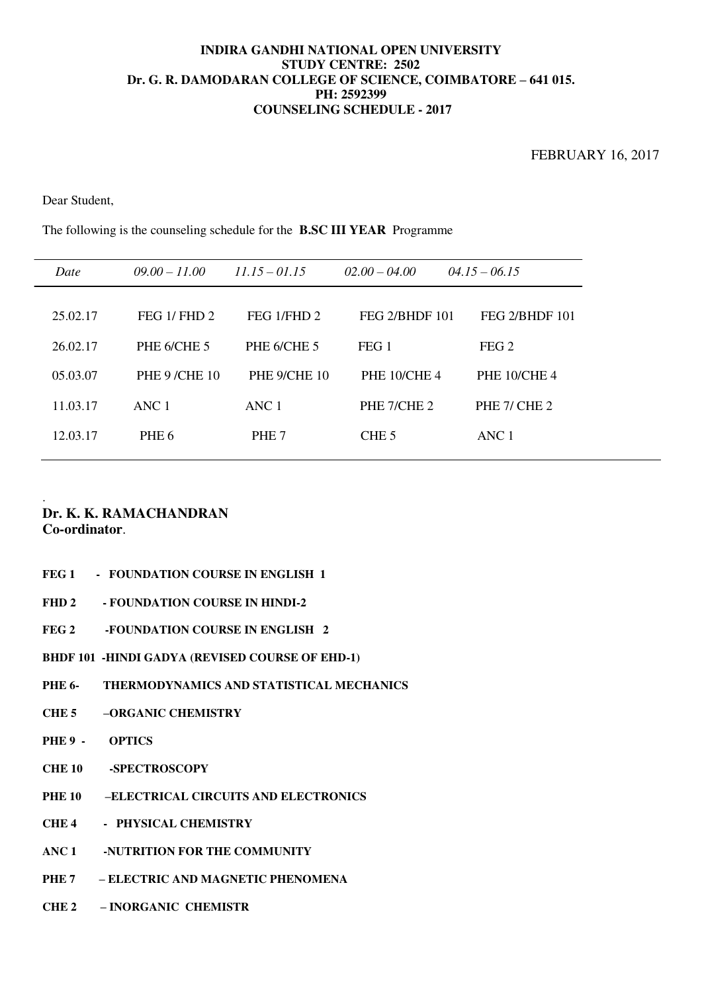Dear Student,

The following is the counseling schedule for the **B.SC III YEAR** Programme

| Date     | $09.00 - 11.00$     | $11.15 - 01.15$  | $02.00 - 04.00$     | $04.15 - 06.15$       |
|----------|---------------------|------------------|---------------------|-----------------------|
| 25.02.17 | FEG $1/$ FHD $2$    | FEG 1/FHD 2      | FEG 2/BHDF 101      | <b>FEG 2/BHDF 101</b> |
| 26.02.17 | PHE 6/CHE 5         | PHE 6/CHE 5      | FEG <sub>1</sub>    | FEG <sub>2</sub>      |
| 05.03.07 | <b>PHE 9/CHE 10</b> | PHE 9/CHE 10     | <b>PHE 10/CHE 4</b> | <b>PHE 10/CHE 4</b>   |
| 11.03.17 | $\triangle$ NC 1    | ANC <sub>1</sub> | PHE 7/CHE 2         | PHE 7/ CHE 2          |
| 12.03.17 | PHE <sub>6</sub>    | PHE <sub>7</sub> | CHE <sub>5</sub>    | ANC <sub>1</sub>      |

#### . **Dr. K. K. RAMACHANDRAN**

**Co-ordinator**.

- FEG 1 FOUNDATION COURSE IN ENGLISH 1
- **FHD 2 FOUNDATION COURSE IN HINDI-2**
- **FEG 2 -FOUNDATION COURSE IN ENGLISH 2**
- **BHDF 101 -HINDI GADYA (REVISED COURSE OF EHD-1)**
- **PHE 6- THERMODYNAMICS AND STATISTICAL MECHANICS**
- **CHE 5 –ORGANIC CHEMISTRY**
- **PHE 9 OPTICS**
- **CHE 10 -SPECTROSCOPY**
- **PHE 10 –ELECTRICAL CIRCUITS AND ELECTRONICS**
- **CHE 4 PHYSICAL CHEMISTRY**
- **ANC 1 -NUTRITION FOR THE COMMUNITY**
- **PHE 7 – ELECTRIC AND MAGNETIC PHENOMENA**
- **CHE 2 – INORGANIC CHEMISTR**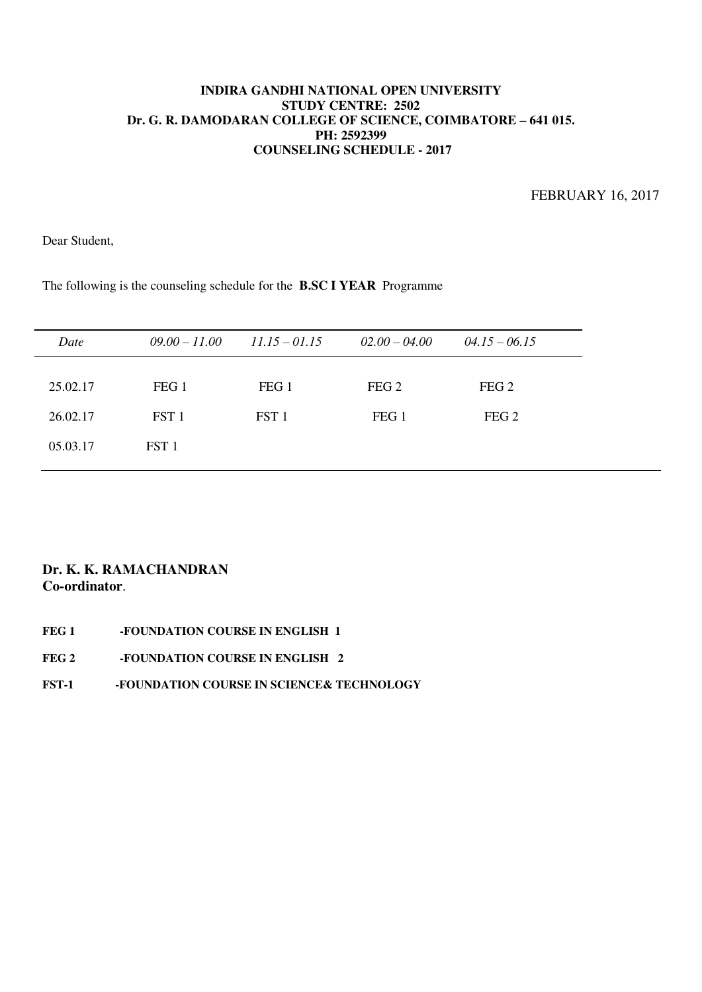FEBRUARY 16, 2017

Dear Student,

The following is the counseling schedule for the **B.SC I YEAR** Programme

| Date     | $09.00 - 11.00$  | $11.15 - 01.15$  | $02.00 - 04.00$  | $04.15 - 06.15$  |
|----------|------------------|------------------|------------------|------------------|
| 25.02.17 | FEG <sub>1</sub> | FEG <sub>1</sub> | FEG <sub>2</sub> | FEG <sub>2</sub> |
| 26.02.17 | FST 1            | FST <sub>1</sub> | FEG <sub>1</sub> | FEG <sub>2</sub> |
| 05.03.17 | FST <sub>1</sub> |                  |                  |                  |
|          |                  |                  |                  |                  |

## **Dr. K. K. RAMACHANDRAN Co-ordinator**.

FEG 1 -FOUNDATION COURSE IN ENGLISH 1 **FEG 2 -FOUNDATION COURSE IN ENGLISH 2 FST-1 -FOUNDATION COURSE IN SCIENCE& TECHNOLOGY**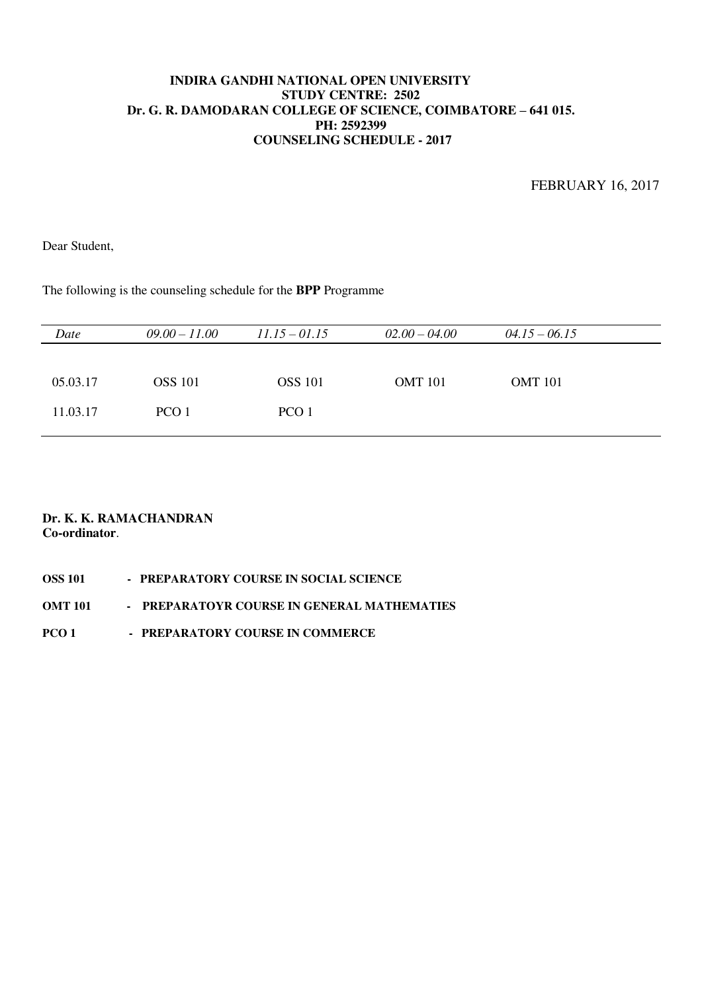FEBRUARY 16, 2017

Dear Student,

The following is the counseling schedule for the **BPP** Programme

| Date     | $09.00 - 11.00$  | $11.15 - 01.15$ | $02.00 - 04.00$ | $04.15 - 06.15$ |  |
|----------|------------------|-----------------|-----------------|-----------------|--|
|          |                  |                 |                 |                 |  |
| 05.03.17 | <b>OSS</b> 101   | <b>OSS</b> 101  | <b>OMT</b> 101  | <b>OMT</b> 101  |  |
| 11.03.17 | PCO <sub>1</sub> | PCO 1           |                 |                 |  |

| <b>OSS 101</b> | - PREPARATORY COURSE IN SOCIAL SCIENCE      |
|----------------|---------------------------------------------|
| OMT 101        | - PREPARATOYR COURSE IN GENERAL MATHEMATIES |
| PCO 1          | - PREPARATORY COURSE IN COMMERCE            |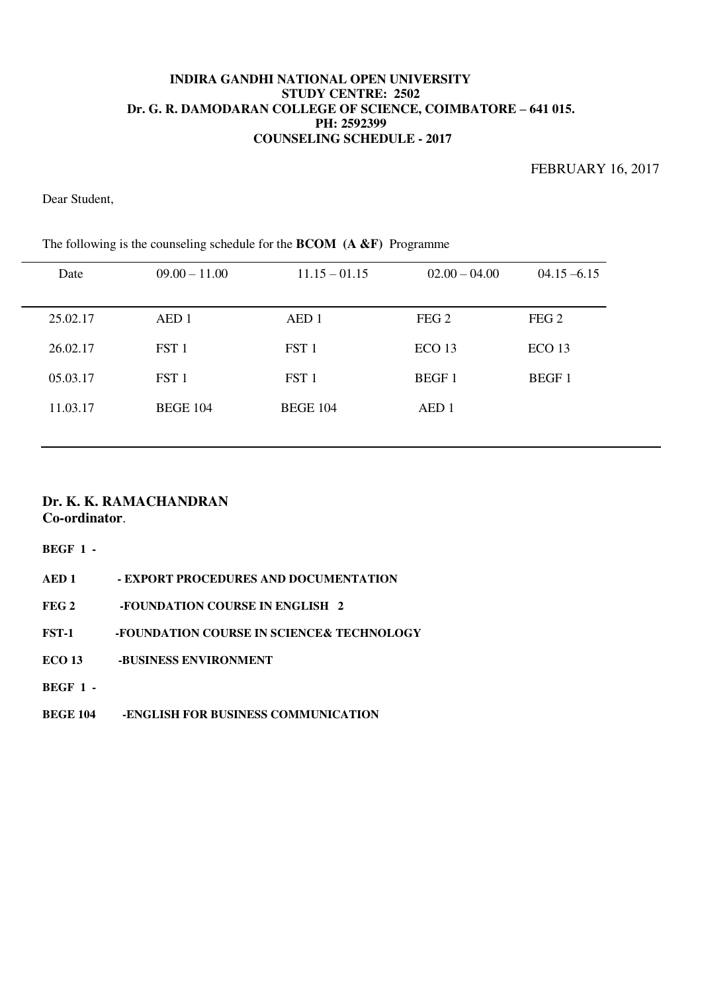FEBRUARY 16, 2017

Dear Student,

| $09.00 - 11.00$  | $11.15 - 01.15$  | $02.00 - 04.00$   | $04.15 - 6.15$    |
|------------------|------------------|-------------------|-------------------|
| AED 1            | AED 1            | FEG <sub>2</sub>  | FEG <sub>2</sub>  |
| FST 1            | FST 1            | ECO <sub>13</sub> | ECO <sub>13</sub> |
| FST <sub>1</sub> | FST <sub>1</sub> | <b>BEGF1</b>      | <b>BEGF1</b>      |
| <b>BEGE 104</b>  | <b>BEGE 104</b>  | AED <sub>1</sub>  |                   |
|                  |                  |                   |                   |

The following is the counseling schedule for the **BCOM (A &F)** Programme

### **Dr. K. K. RAMACHANDRAN Co-ordinator**.

**BEGF 1 -** 

| AED 1            | - EXPORT PROCEDURES AND DOCUMENTATION     |
|------------------|-------------------------------------------|
| FEG <sub>2</sub> | -FOUNDATION COURSE IN ENGLISH 2           |
| FST-1            | -FOUNDATION COURSE IN SCIENCE& TECHNOLOGY |
| ECO 13           | -BUSINESS ENVIRONMENT                     |
| $BEGF$ 1 -       |                                           |
| <b>BEGE 104</b>  | -ENGLISH FOR BUSINESS COMMUNICATION       |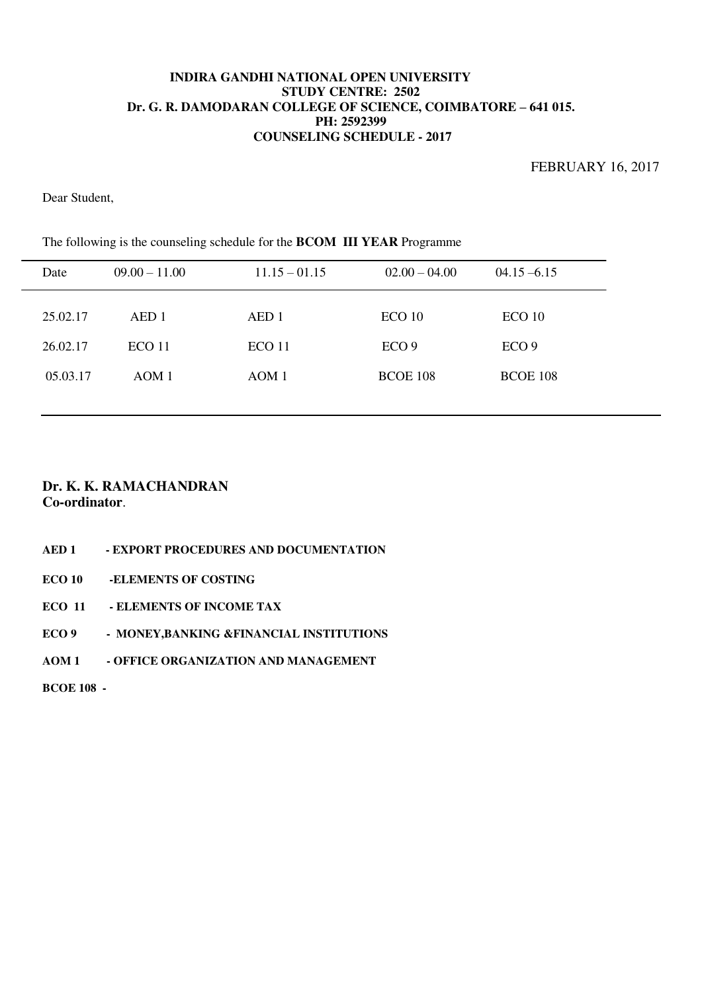FEBRUARY 16, 2017

Dear Student,

| The following is the counseling schedule for the <b>BCOM TIT YEAR</b> Programme |                   |                   |                  |                  |  |
|---------------------------------------------------------------------------------|-------------------|-------------------|------------------|------------------|--|
| Date                                                                            | $09.00 - 11.00$   | $11.15 - 01.15$   | $02.00 - 04.00$  | $04.15 - 6.15$   |  |
| 25.02.17                                                                        | AED 1             | AED <sub>1</sub>  | ECO10            | ECO10            |  |
| 26.02.17                                                                        | ECO <sub>11</sub> | ECO <sub>11</sub> | ECO <sub>9</sub> | ECO <sub>9</sub> |  |
| 05.03.17                                                                        | AOM1              | AOM 1             | <b>BCOE 108</b>  | <b>BCOE 108</b>  |  |
|                                                                                 |                   |                   |                  |                  |  |

The following is the counseling schedule for the **BCOM III YEAR** Programme

## **Dr. K. K. RAMACHANDRAN Co-ordinator**.

**AED 1 - EXPORT PROCEDURES AND DOCUMENTATION** 

**ECO 10 -ELEMENTS OF COSTING** 

**ECO 11 - ELEMENTS OF INCOME TAX** 

**ECO 9 - MONEY,BANKING &FINANCIAL INSTITUTIONS** 

**AOM 1 - OFFICE ORGANIZATION AND MANAGEMENT** 

**BCOE 108 -**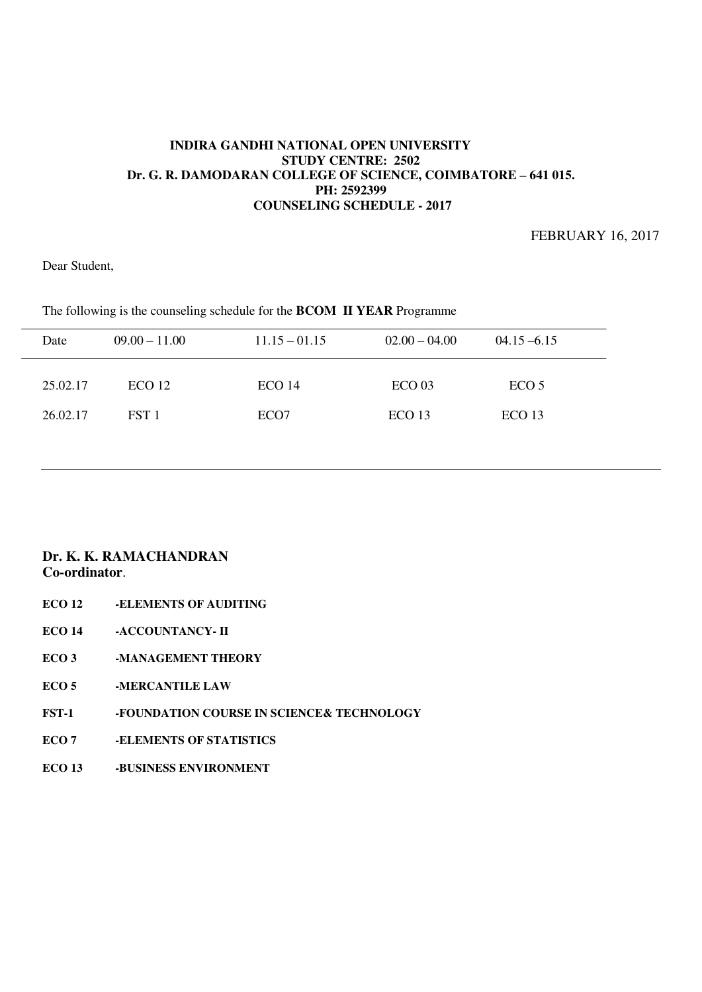FEBRUARY 16, 2017

Dear Student,

| Date     | $09.00 - 11.00$   | $11.15 - 01.15$   | $02.00 - 04.00$   | $04.15 - 6.15$    |
|----------|-------------------|-------------------|-------------------|-------------------|
| 25.02.17 | ECO <sub>12</sub> | ECO <sub>14</sub> | ECO <sub>03</sub> | ECO <sub>5</sub>  |
| 26.02.17 | FST 1             | ECO <sub>7</sub>  | ECO <sub>13</sub> | ECO <sub>13</sub> |
|          |                   |                   |                   |                   |

The following is the counseling schedule for the **BCOM II YEAR** Programme

- **ECO 12 -ELEMENTS OF AUDITING**
- **ECO 14 -ACCOUNTANCY- II**
- **ECO 3** -MANAGEMENT THEORY
- **ECO 5 -MERCANTILE LAW**
- **FST-1 -FOUNDATION COURSE IN SCIENCE& TECHNOLOGY**
- **ECO 7 -ELEMENTS OF STATISTICS**
- **ECO 13 -BUSINESS ENVIRONMENT**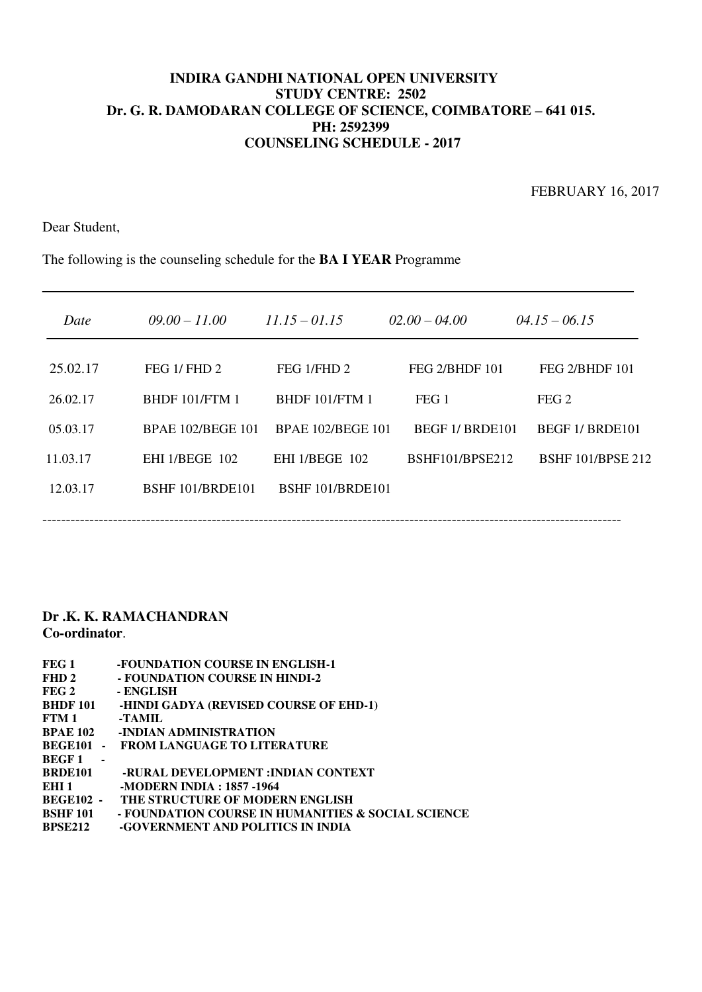FEBRUARY 16, 2017

Dear Student,

The following is the counseling schedule for the **BA I YEAR** Programme

| Date     | $09.00 - 11.00$          | $11.15 - 01.15$          | $02.00 - 04.00$ | $04.15 - 06.15$          |
|----------|--------------------------|--------------------------|-----------------|--------------------------|
| 25.02.17 | FEG $1$ /FHD $2$         | FEG 1/FHD 2              | FEG 2/BHDF 101  | FEG 2/BHDF 101           |
| 26.02.17 | <b>BHDF 101/FTM 1</b>    | <b>BHDF 101/FTM 1</b>    | FEG 1           | FEG <sub>2</sub>         |
| 05.03.17 | <b>BPAE 102/BEGE 101</b> | <b>BPAE 102/BEGE 101</b> | BEGF 1/BRDE101  | BEGF 1/BRDE101           |
| 11.03.17 | <b>EHI 1/BEGE 102</b>    | <b>EHI 1/BEGE 102</b>    | BSHF101/BPSE212 | <b>BSHF 101/BPSE 212</b> |
| 12.03.17 | BSHF 101/BRDE101         | BSHF 101/BRDE101         |                 |                          |
|          |                          |                          |                 |                          |

| FEG 1                          | -FOUNDATION COURSE IN ENGLISH-1                    |
|--------------------------------|----------------------------------------------------|
| FHD <sub>2</sub>               | - FOUNDATION COURSE IN HINDI-2                     |
| FEG <sub>2</sub>               | - ENGLISH                                          |
| <b>BHDF 101</b>                | -HINDI GADYA (REVISED COURSE OF EHD-1)             |
| FTM 1                          | -TAMIL                                             |
| <b>BPAE 102</b>                | -INDIAN ADMINISTRATION                             |
| BEGE101                        | <b>FROM LANGUAGE TO LITERATURE</b>                 |
| <b>BEGF1</b><br>$\blacksquare$ |                                                    |
| BRDE101                        | -RURAL DEVELOPMENT :INDIAN CONTEXT                 |
| EHI <sub>1</sub>               | -MODERN INDIA : 1857 -1964                         |
| <b>BEGE102 -</b>               | THE STRUCTURE OF MODERN ENGLISH                    |
| <b>BSHF 101</b>                | - FOUNDATION COURSE IN HUMANITIES & SOCIAL SCIENCE |
| <b>BPSE212</b>                 | -GOVERNMENT AND POLITICS IN INDIA                  |
|                                |                                                    |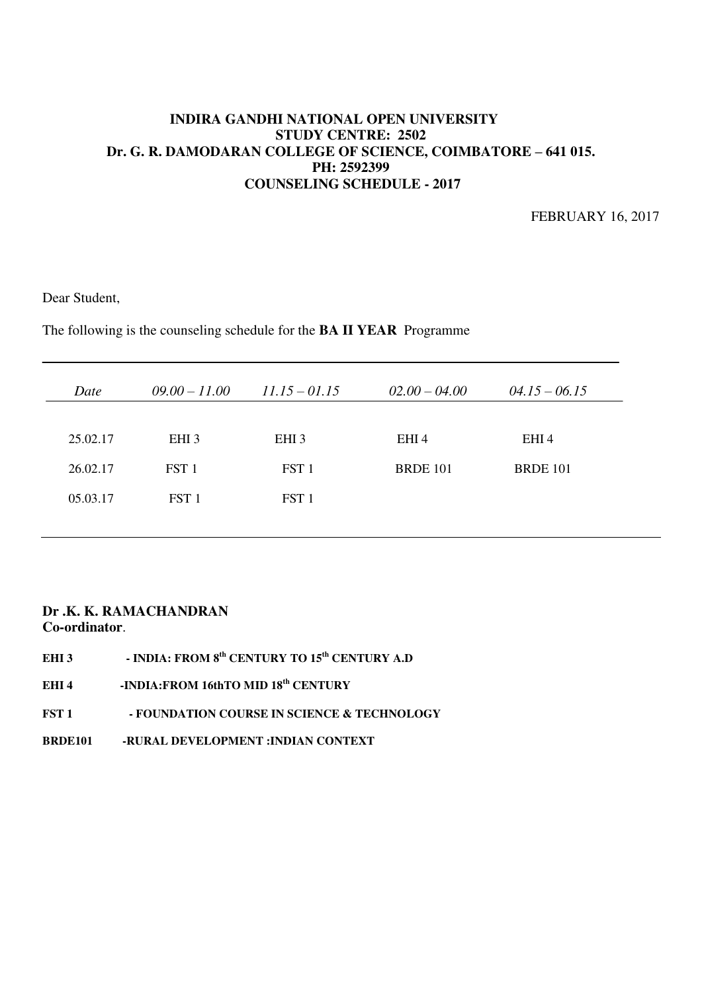FEBRUARY 16, 2017

Dear Student,

The following is the counseling schedule for the **BA II YEAR** Programme

| Date     | $09.00 - 11.00$  | $11.15 - 01.15$  | $02.00 - 04.00$ | $04.15 - 06.15$ |
|----------|------------------|------------------|-----------------|-----------------|
| 25.02.17 | EHI <sub>3</sub> | EHI <sub>3</sub> | EHI4            | EHI4            |
| 26.02.17 | FST <sub>1</sub> | FST <sub>1</sub> | <b>BRDE 101</b> | <b>BRDE 101</b> |
| 05.03.17 | FST 1            | FST <sub>1</sub> |                 |                 |
|          |                  |                  |                 |                 |

- EHI 3 INDIA: FROM 8<sup>th</sup> CENTURY TO 15<sup>th</sup> CENTURY A.D
- EHI 4 -INDIA:FROM 16thTO MID 18<sup>th</sup> CENTURY
- **FST 1 FOUNDATION COURSE IN SCIENCE & TECHNOLOGY**
- **BRDE101 -RURAL DEVELOPMENT :INDIAN CONTEXT**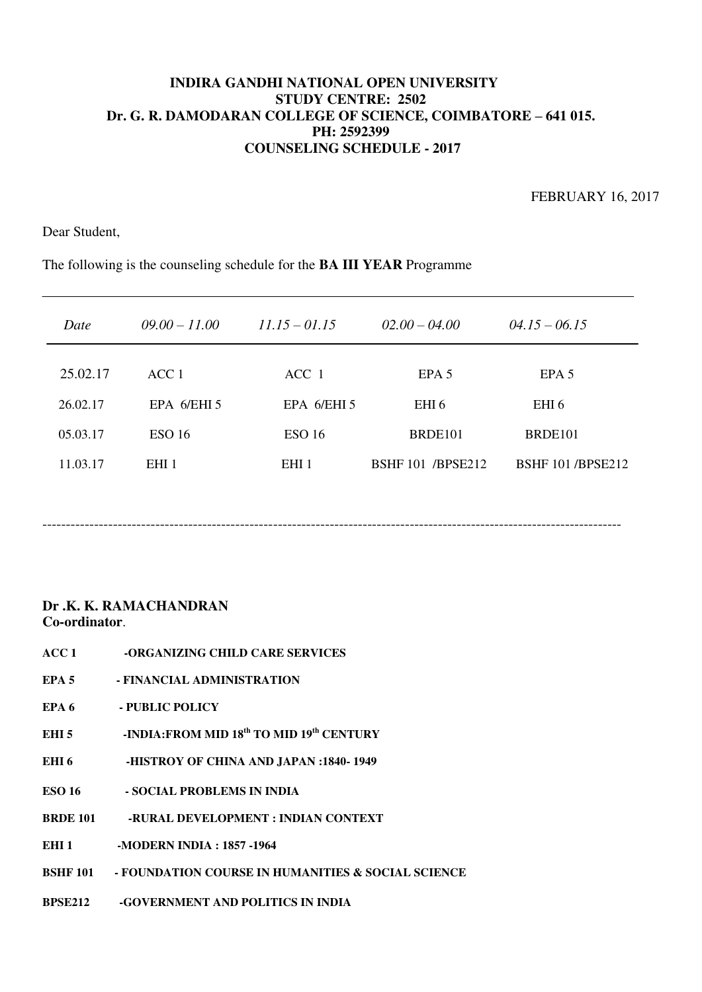FEBRUARY 16, 2017

Dear Student,

The following is the counseling schedule for the **BA III YEAR** Programme

| Date     | $09.00 - 11.00$  | $11.15 - 01.15$   | $02.00 - 04.00$          | $04.15 - 06.15$         |
|----------|------------------|-------------------|--------------------------|-------------------------|
| 25.02.17 | ACC 1            | ACC 1             | EPA 5                    | EPA 5                   |
| 26.02.17 | EPA $6/EHI$ 5    | EPA 6/EHI 5       | EHI <sub>6</sub>         | EHI <sub>6</sub>        |
| 05.03.17 | <b>ESO 16</b>    | ESO <sub>16</sub> | BRDE <sub>101</sub>      | BRDE <sub>101</sub>     |
| 11.03.17 | EHI <sub>1</sub> | EHI <sub>1</sub>  | <b>BSHF 101 /BPSE212</b> | <b>BSHF 101/BPSE212</b> |

## **Dr .K. K. RAMACHANDRAN Co-ordinator**.

- **ACC 1 -ORGANIZING CHILD CARE SERVICES**
- **EPA 5 FINANCIAL ADMINISTRATION**
- **EPA 6 PUBLIC POLICY**
- EHI 5 -INDIA:FROM MID 18<sup>th</sup> TO MID 19<sup>th</sup> CENTURY
- **EHI 6 -HISTROY OF CHINA AND JAPAN :1840- 1949**
- **ESO 16 SOCIAL PROBLEMS IN INDIA**
- **BRDE 101 -RURAL DEVELOPMENT : INDIAN CONTEXT**

**EHI 1 -MODERN INDIA : 1857 -1964** 

- **BSHF 101 FOUNDATION COURSE IN HUMANITIES & SOCIAL SCIENCE**
- **BPSE212 -GOVERNMENT AND POLITICS IN INDIA**